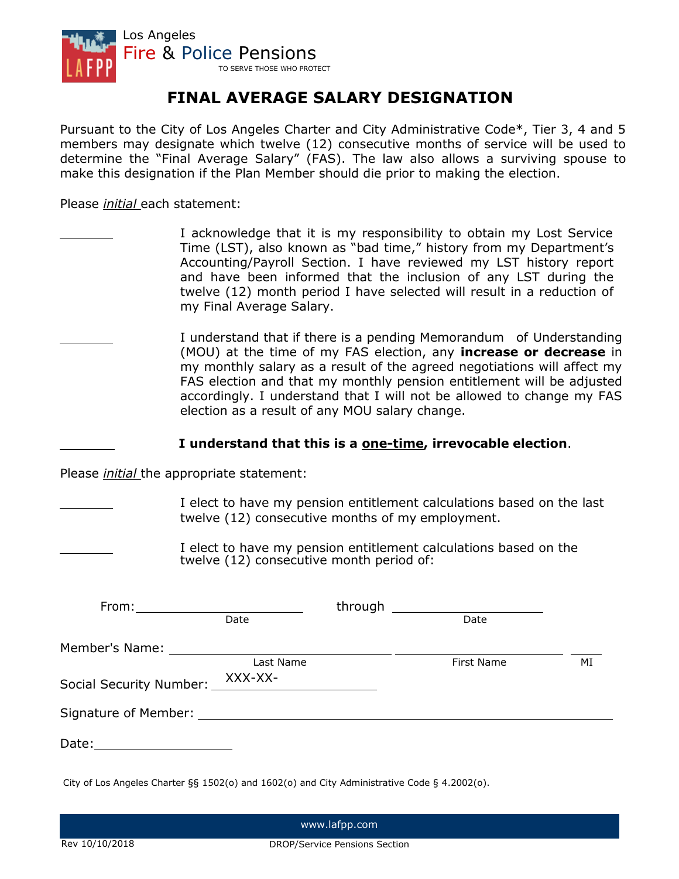

# **FINAL AVERAGE SALARY DESIGNATION**

Pursuant to the City of Los Angeles Charter and City Administrative Code\*, Tier 3, 4 and 5 members may designate which twelve (12) consecutive months of service will be used to determine the "Final Average Salary" (FAS). The law also allows a surviving spouse to make this designation if the Plan Member should die prior to making the election.

Please *initial* each statement:

I acknowledge that it is my responsibility to obtain my Lost Service Time (LST), also known as "bad time," history from my Department's Accounting/Payroll Section. I have reviewed my LST history report and have been informed that the inclusion of any LST during the twelve (12) month period I have selected will result in a reduction of my Final Average Salary.

I understand that if there is a pending Memorandum of Understanding (MOU) at the time of my FAS election, any **increase or decrease** in my monthly salary as a result of the agreed negotiations will affect my FAS election and that my monthly pension entitlement will be adjusted accordingly. I understand that I will not be allowed to change my FAS election as a result of any MOU salary change.

### **I understand that this is a one-time, irrevocable election**.

Please *initial* the appropriate statement:

I elect to have my pension entitlement calculations based on the last twelve (12) consecutive months of my employment.

I elect to have my pension entitlement calculations based on the twelve (12) consecutive month period of:

| $From: \_\_\_\_\_\_\_\_\_\_\_\_\_\_\_\_\_\_\_\_\_\_\_\_\_\_\_\_\_\_\_\_\_\_$ |           |  |            |    |
|------------------------------------------------------------------------------|-----------|--|------------|----|
|                                                                              | Date      |  | Date       |    |
|                                                                              |           |  |            |    |
|                                                                              | Last Name |  | First Name | MI |
| Social Security Number: XXX-XX-                                              |           |  |            |    |
|                                                                              |           |  |            |    |
| Date:________________________                                                |           |  |            |    |
|                                                                              |           |  |            |    |

City of Los Angeles Charter §§ 1502(o) and 1602(o) and City Administrative Code § 4.2002(o).